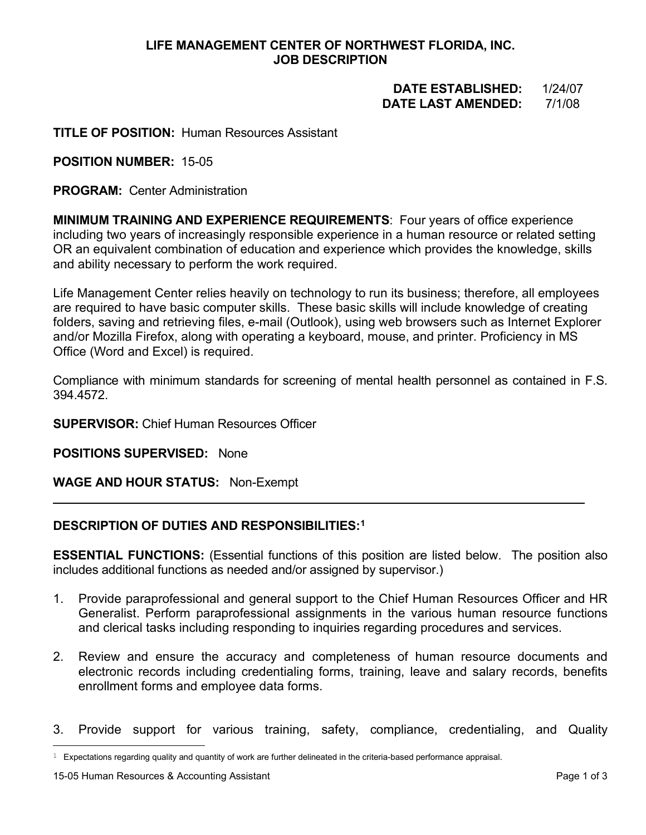## **LIFE MANAGEMENT CENTER OF NORTHWEST FLORIDA, INC. JOB DESCRIPTION**

# **DATE ESTABLISHED:** 1/24/07  **DATE LAST AMENDED:** 7/1/08

## **TITLE OF POSITION:** Human Resources Assistant

## **POSITION NUMBER:** 15-05

**PROGRAM:** Center Administration

**MINIMUM TRAINING AND EXPERIENCE REQUIREMENTS**: Four years of office experience including two years of increasingly responsible experience in a human resource or related setting OR an equivalent combination of education and experience which provides the knowledge, skills and ability necessary to perform the work required.

Life Management Center relies heavily on technology to run its business; therefore, all employees are required to have basic computer skills. These basic skills will include knowledge of creating folders, saving and retrieving files, e-mail (Outlook), using web browsers such as Internet Explorer and/or Mozilla Firefox, along with operating a keyboard, mouse, and printer. Proficiency in MS Office (Word and Excel) is required.

Compliance with minimum standards for screening of mental health personnel as contained in F.S. 394.4572.

#### **SUPERVISOR:** Chief Human Resources Officer

**POSITIONS SUPERVISED:** None

## **WAGE AND HOUR STATUS:** Non-Exempt

# **DESCRIPTION OF DUTIES AND RESPONSIBILITIES:[1](#page-0-0)**

**ESSENTIAL FUNCTIONS:** (Essential functions of this position are listed below. The position also includes additional functions as needed and/or assigned by supervisor.)

- 1. Provide paraprofessional and general support to the Chief Human Resources Officer and HR Generalist. Perform paraprofessional assignments in the various human resource functions and clerical tasks including responding to inquiries regarding procedures and services.
- 2. Review and ensure the accuracy and completeness of human resource documents and electronic records including credentialing forms, training, leave and salary records, benefits enrollment forms and employee data forms.
- 3. Provide support for various training, safety, compliance, credentialing, and Quality

<span id="page-0-0"></span> $1$  Expectations regarding quality and quantity of work are further delineated in the criteria-based performance appraisal.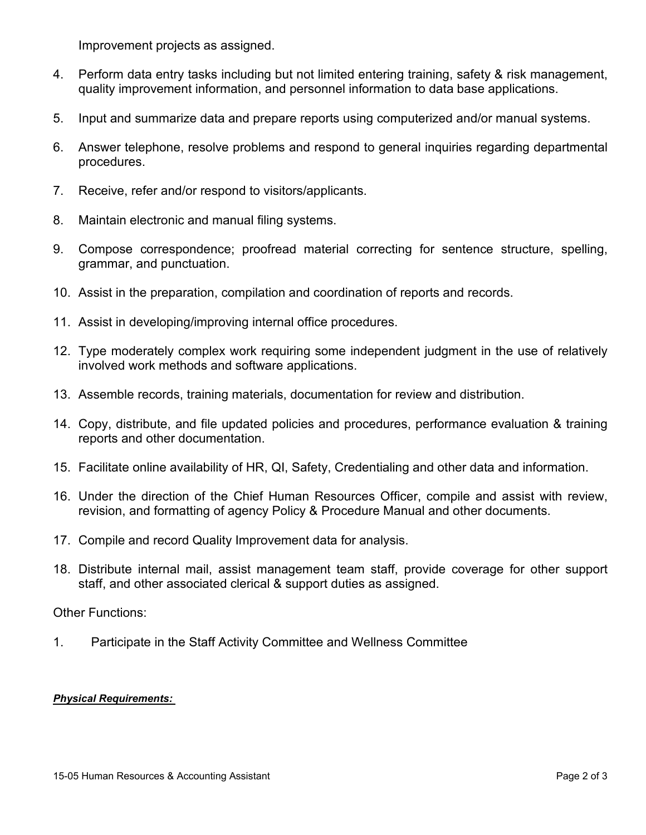Improvement projects as assigned.

- 4. Perform data entry tasks including but not limited entering training, safety & risk management, quality improvement information, and personnel information to data base applications.
- 5. Input and summarize data and prepare reports using computerized and/or manual systems.
- 6. Answer telephone, resolve problems and respond to general inquiries regarding departmental procedures.
- 7. Receive, refer and/or respond to visitors/applicants.
- 8. Maintain electronic and manual filing systems.
- 9. Compose correspondence; proofread material correcting for sentence structure, spelling, grammar, and punctuation.
- 10. Assist in the preparation, compilation and coordination of reports and records.
- 11. Assist in developing/improving internal office procedures.
- 12. Type moderately complex work requiring some independent judgment in the use of relatively involved work methods and software applications.
- 13. Assemble records, training materials, documentation for review and distribution.
- 14. Copy, distribute, and file updated policies and procedures, performance evaluation & training reports and other documentation.
- 15. Facilitate online availability of HR, QI, Safety, Credentialing and other data and information.
- 16. Under the direction of the Chief Human Resources Officer, compile and assist with review, revision, and formatting of agency Policy & Procedure Manual and other documents.
- 17. Compile and record Quality Improvement data for analysis.
- 18. Distribute internal mail, assist management team staff, provide coverage for other support staff, and other associated clerical & support duties as assigned.

# Other Functions:

1. Participate in the Staff Activity Committee and Wellness Committee

## *Physical Requirements:*